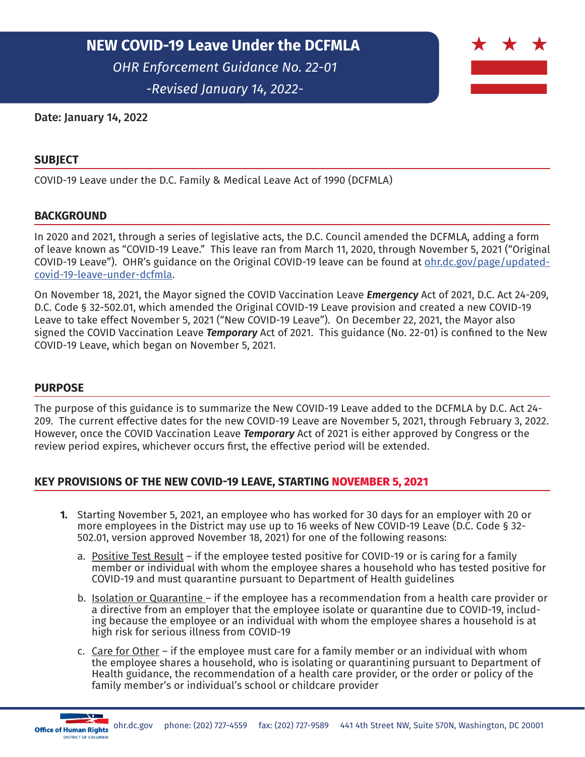*-Revised January 14, 2022-*



## Date: January 14, 2022

## **SUBJECT**

COVID-19 Leave under the D.C. Family & Medical Leave Act of 1990 (DCFMLA)

### **BACKGROUND**

In 2020 and 2021, through a series of legislative acts, the D.C. Council amended the DCFMLA, adding a form of leave known as "COVID-19 Leave." This leave ran from March 11, 2020, through November 5, 2021 ("Original COVID-19 Leave"). OHR's guidance on the Original COVID-19 leave can be found at [ohr.dc.gov/page/updated](https://ohr.dc.gov/page/updated-covid-19-leave-under-dcfmla.)[covid-19-leave-under-dcfmla](https://ohr.dc.gov/page/updated-covid-19-leave-under-dcfmla.).

On November 18, 2021, the Mayor signed the COVID Vaccination Leave *Emergency* Act of 2021, D.C. Act 24-209, D.C. Code § 32-502.01, which amended the Original COVID-19 Leave provision and created a new COVID-19 Leave to take effect November 5, 2021 ("New COVID-19 Leave"). On December 22, 2021, the Mayor also signed the COVID Vaccination Leave *Temporary* Act of 2021. This guidance (No. 22-01) is confined to the New COVID-19 Leave, which began on November 5, 2021.

#### **PURPOSE**

The purpose of this guidance is to summarize the New COVID-19 Leave added to the DCFMLA by D.C. Act 24- 209. The current effective dates for the new COVID-19 Leave are November 5, 2021, through February 3, 2022. However, once the COVID Vaccination Leave *Temporary* Act of 2021 is either approved by Congress or the review period expires, whichever occurs first, the effective period will be extended.

## **KEY PROVISIONS OF THE NEW COVID-19 LEAVE, STARTING NOVEMBER 5, 2021**

- **1.** Starting November 5, 2021, an employee who has worked for 30 days for an employer with 20 or more employees in the District may use up to 16 weeks of New COVID-19 Leave (D.C. Code § 32- 502.01, version approved November 18, 2021) for one of the following reasons:
	- a. Positive Test Result if the employee tested positive for COVID-19 or is caring for a family member or individual with whom the employee shares a household who has tested positive for COVID-19 and must quarantine pursuant to Department of Health guidelines
	- b. **Isolation or Quarantine** if the employee has a recommendation from a health care provider or a directive from an employer that the employee isolate or quarantine due to COVID-19, including because the employee or an individual with whom the employee shares a household is at high risk for serious illness from COVID-19
	- c. Care for Other if the employee must care for a family member or an individual with whom the employee shares a household, who is isolating or quarantining pursuant to Department of Health guidance, the recommendation of a health care provider, or the order or policy of the family member's or individual's school or childcare provider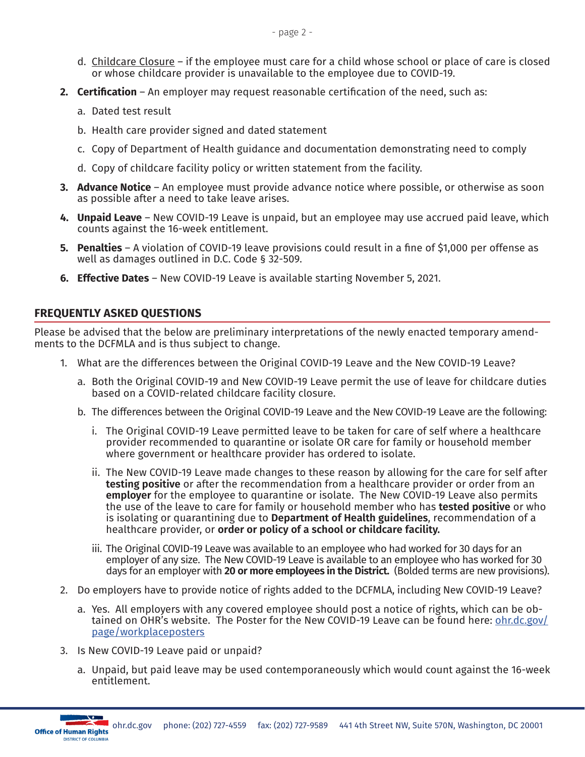- d. Childcare Closure if the employee must care for a child whose school or place of care is closed or whose childcare provider is unavailable to the employee due to COVID-19.
- **2. Certification** An employer may request reasonable certification of the need, such as:
	- a. Dated test result
	- b. Health care provider signed and dated statement
	- c. Copy of Department of Health guidance and documentation demonstrating need to comply
	- d. Copy of childcare facility policy or written statement from the facility.
- **3. Advance Notice** An employee must provide advance notice where possible, or otherwise as soon as possible after a need to take leave arises.
- **4. Unpaid Leave** New COVID-19 Leave is unpaid, but an employee may use accrued paid leave, which counts against the 16-week entitlement.
- **5. Penalties** A violation of COVID-19 leave provisions could result in a fine of \$1,000 per offense as well as damages outlined in D.C. Code § 32-509.
- **6. Effective Dates** New COVID-19 Leave is available starting November 5, 2021.

# **FREQUENTLY ASKED QUESTIONS**

Please be advised that the below are preliminary interpretations of the newly enacted temporary amendments to the DCFMLA and is thus subject to change.

- 1. What are the differences between the Original COVID-19 Leave and the New COVID-19 Leave?
	- a. Both the Original COVID-19 and New COVID-19 Leave permit the use of leave for childcare duties based on a COVID-related childcare facility closure.
	- b. The differences between the Original COVID-19 Leave and the New COVID-19 Leave are the following:
		- i. The Original COVID-19 Leave permitted leave to be taken for care of self where a healthcare provider recommended to quarantine or isolate OR care for family or household member where government or healthcare provider has ordered to isolate.
		- ii. The New COVID-19 Leave made changes to these reason by allowing for the care for self after **testing positive** or after the recommendation from a healthcare provider or order from an **employer** for the employee to quarantine or isolate. The New COVID-19 Leave also permits the use of the leave to care for family or household member who has **tested positive** or who is isolating or quarantining due to **Department of Health guidelines**, recommendation of a healthcare provider, or **order or policy of a school or childcare facility.**
		- iii. The Original COVID-19 Leave was available to an employee who had worked for 30 days for an employer of any size. The New COVID-19 Leave is available to an employee who has worked for 30 days for an employer with **20 or more employees in the District.** (Bolded terms are new provisions).
- 2. Do employers have to provide notice of rights added to the DCFMLA, including New COVID-19 Leave?
	- a. Yes. All employers with any covered employee should post a notice of rights, which can be obtained on OHR's website. The Poster for the New COVID-19 Leave can be found here: [ohr.dc.gov/](https://ohr.dc.gov/page/workplaceposters) [page/workplaceposters](https://ohr.dc.gov/page/workplaceposters)
- 3. Is New COVID-19 Leave paid or unpaid?
	- a. Unpaid, but paid leave may be used contemporaneously which would count against the 16-week entitlement.